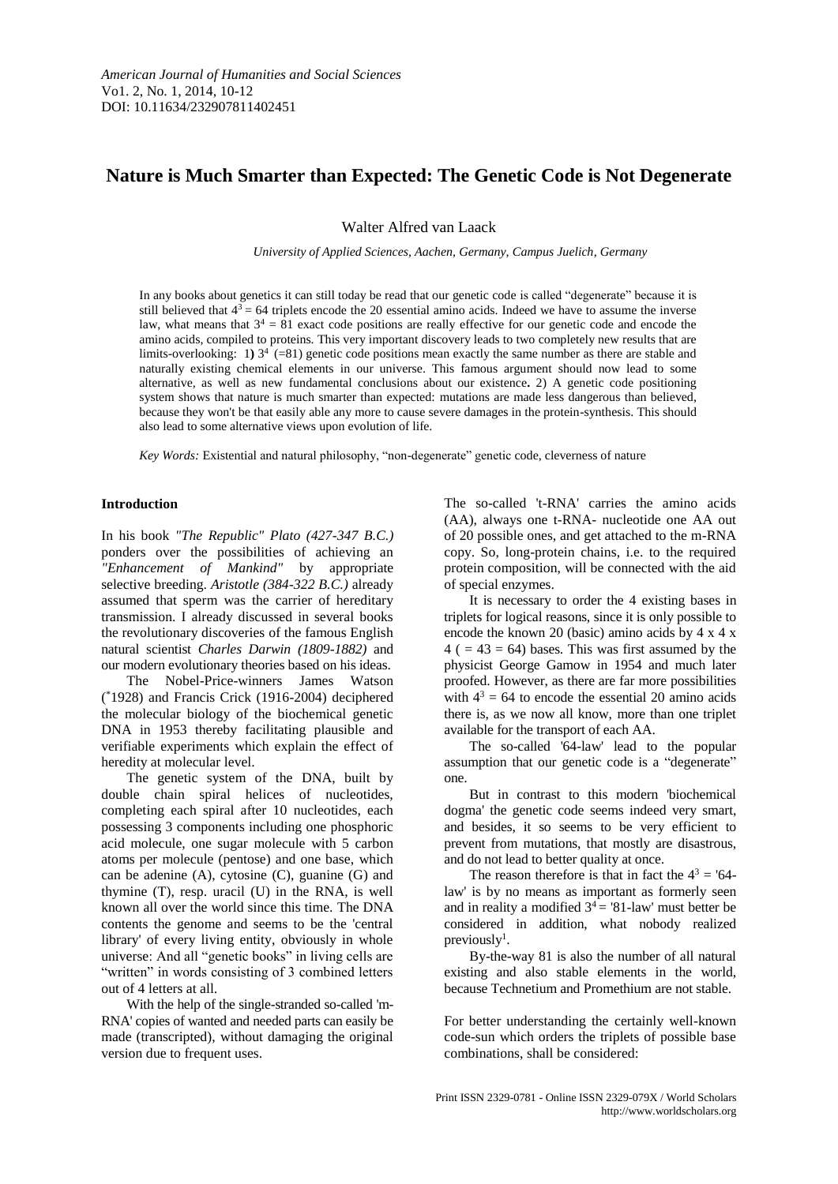# **Nature is Much Smarter than Expected: The Genetic Code is Not Degenerate**

Walter Alfred van Laack

*University of Applied Sciences, Aachen, Germany, Campus Juelich, Germany*

In any books about genetics it can still today be read that our genetic code is called "degenerate" because it is still believed that  $4<sup>3</sup> = 64$  triplets encode the 20 essential amino acids. Indeed we have to assume the inverse law, what means that  $3^4 = 81$  exact code positions are really effective for our genetic code and encode the amino acids, compiled to proteins. This very important discovery leads to two completely new results that are limits-overlooking: 1)  $3<sup>4</sup>$  (=81) genetic code positions mean exactly the same number as there are stable and naturally existing chemical elements in our universe. This famous argument should now lead to some alternative, as well as new fundamental conclusions about our existence**.** 2) A genetic code positioning system shows that nature is much smarter than expected: mutations are made less dangerous than believed, because they won't be that easily able any more to cause severe damages in the protein-synthesis. This should also lead to some alternative views upon evolution of life.

*Key Words:* Existential and natural philosophy, "non-degenerate" genetic code, cleverness of nature

## **Introduction**

In his book *"The Republic" Plato (427-347 B.C.)*  ponders over the possibilities of achieving an *"Enhancement of Mankind"* by appropriate selective breeding. *Aristotle (384-322 B.C.)* already assumed that sperm was the carrier of hereditary transmission. I already discussed in several books the revolutionary discoveries of the famous English natural scientist *Charles Darwin (1809-1882)* and our modern evolutionary theories based on his ideas.

The Nobel-Price-winners James Watson ( \*1928) and Francis Crick (1916-2004) deciphered the molecular biology of the biochemical genetic DNA in 1953 thereby facilitating plausible and verifiable experiments which explain the effect of heredity at molecular level.

The genetic system of the DNA, built by double chain spiral helices of nucleotides, completing each spiral after 10 nucleotides, each possessing 3 components including one phosphoric acid molecule, one sugar molecule with 5 carbon atoms per molecule (pentose) and one base, which can be adenine  $(A)$ , cytosine  $(C)$ , guanine  $(G)$  and thymine (T), resp. uracil (U) in the RNA, is well known all over the world since this time. The DNA contents the genome and seems to be the 'central library' of every living entity, obviously in whole universe: And all "genetic books" in living cells are "written" in words consisting of 3 combined letters out of 4 letters at all.

With the help of the single-stranded so-called 'm-RNA' copies of wanted and needed parts can easily be made (transcripted), without damaging the original version due to frequent uses.

The so-called 't-RNA' carries the amino acids (AA), always one t-RNA- nucleotide one AA out of 20 possible ones, and get attached to the m-RNA copy. So, long-protein chains, i.e. to the required protein composition, will be connected with the aid of special enzymes.

It is necessary to order the 4 existing bases in triplets for logical reasons, since it is only possible to encode the known 20 (basic) amino acids by 4 x 4 x  $4$  ( = 43 = 64) bases. This was first assumed by the physicist George Gamow in 1954 and much later proofed. However, as there are far more possibilities with  $4^3 = 64$  to encode the essential 20 amino acids there is, as we now all know, more than one triplet available for the transport of each AA.

The so-called '64-law' lead to the popular assumption that our genetic code is a "degenerate" one.

But in contrast to this modern 'biochemical dogma' the genetic code seems indeed very smart, and besides, it so seems to be very efficient to prevent from mutations, that mostly are disastrous, and do not lead to better quality at once.

The reason therefore is that in fact the  $4^3 = 64$ law' is by no means as important as formerly seen and in reality a modified  $3<sup>4</sup> = 81$ -law' must better be considered in addition, what nobody realized previously<sup>1</sup>.

By-the-way 81 is also the number of all natural existing and also stable elements in the world, because Technetium and Promethium are not stable.

For better understanding the certainly well-known code-sun which orders the triplets of possible base combinations, shall be considered: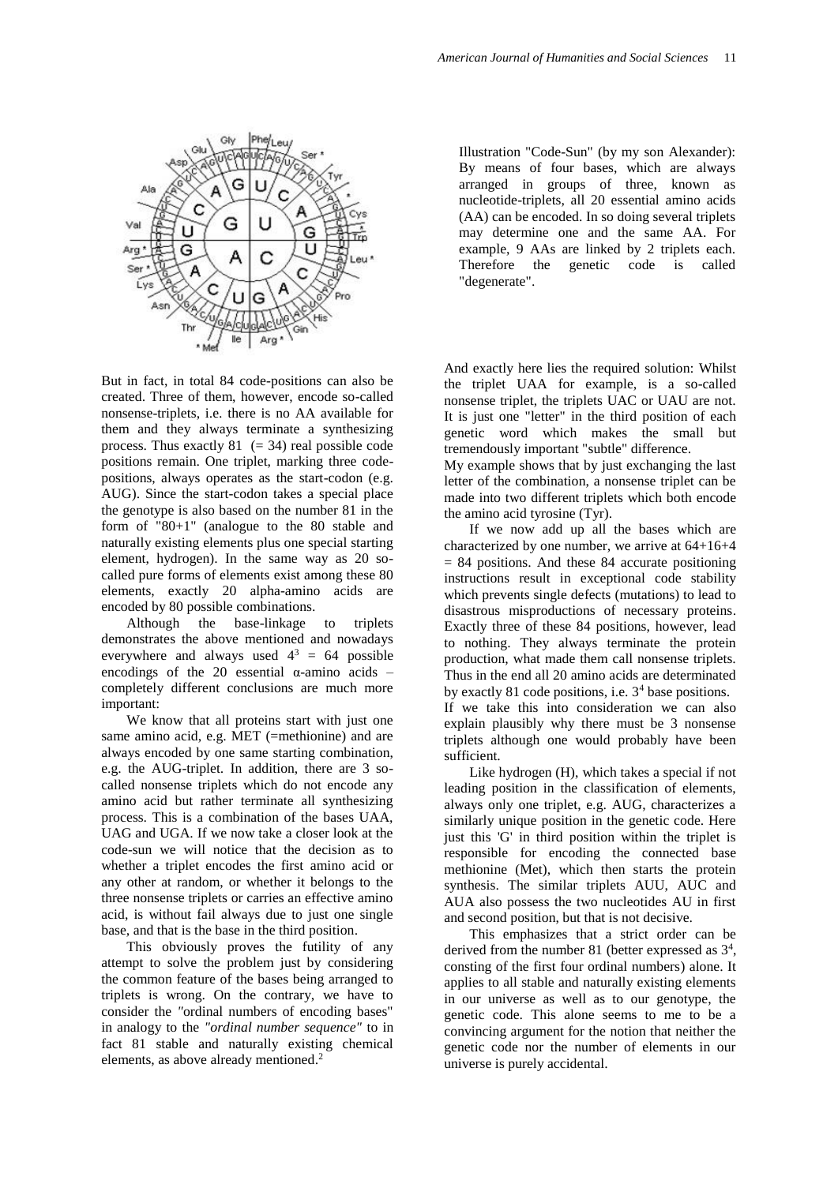

But in fact, in total 84 code-positions can also be created. Three of them, however, encode so-called nonsense-triplets, i.e. there is no AA available for them and they always terminate a synthesizing process. Thus exactly  $81 (= 34)$  real possible code positions remain. One triplet, marking three codepositions, always operates as the start-codon (e.g. AUG). Since the start-codon takes a special place the genotype is also based on the number 81 in the form of "80+1" (analogue to the 80 stable and naturally existing elements plus one special starting element, hydrogen). In the same way as 20 socalled pure forms of elements exist among these 80 elements, exactly 20 alpha-amino acids are encoded by 80 possible combinations.

Although the base-linkage to triplets demonstrates the above mentioned and nowadays everywhere and always used  $4^3 = 64$  possible encodings of the 20 essential  $\alpha$ -amino acids – completely different conclusions are much more important:

We know that all proteins start with just one same amino acid, e.g. MET (=methionine) and are always encoded by one same starting combination, e.g. the AUG-triplet. In addition, there are 3 socalled nonsense triplets which do not encode any amino acid but rather terminate all synthesizing process. This is a combination of the bases UAA, UAG and UGA. If we now take a closer look at the code-sun we will notice that the decision as to whether a triplet encodes the first amino acid or any other at random, or whether it belongs to the three nonsense triplets or carries an effective amino acid, is without fail always due to just one single base, and that is the base in the third position.

This obviously proves the futility of any attempt to solve the problem just by considering the common feature of the bases being arranged to triplets is wrong. On the contrary, we have to consider the *"*ordinal numbers of encoding bases" in analogy to the *"ordinal number sequence"* to in fact 81 stable and naturally existing chemical elements, as above already mentioned. 2

Illustration "Code-Sun" (by my son Alexander): By means of four bases, which are always arranged in groups of three, known as nucleotide-triplets, all 20 essential amino acids (AA) can be encoded. In so doing several triplets may determine one and the same AA. For example, 9 AAs are linked by 2 triplets each. Therefore the genetic code is called "degenerate".

And exactly here lies the required solution: Whilst the triplet UAA for example, is a so-called nonsense triplet, the triplets UAC or UAU are not. It is just one "letter" in the third position of each genetic word which makes the small but tremendously important "subtle" difference.

My example shows that by just exchanging the last letter of the combination, a nonsense triplet can be made into two different triplets which both encode the amino acid tyrosine (Tyr).

If we now add up all the bases which are characterized by one number, we arrive at 64+16+4  $= 84$  positions. And these 84 accurate positioning instructions result in exceptional code stability which prevents single defects (mutations) to lead to disastrous misproductions of necessary proteins. Exactly three of these 84 positions, however, lead to nothing. They always terminate the protein production, what made them call nonsense triplets. Thus in the end all 20 amino acids are determinated by exactly 81 code positions, i.e.  $3<sup>4</sup>$  base positions. If we take this into consideration we can also explain plausibly why there must be 3 nonsense triplets although one would probably have been sufficient.

Like hydrogen (H), which takes a special if not leading position in the classification of elements, always only one triplet, e.g. AUG, characterizes a similarly unique position in the genetic code. Here just this 'G' in third position within the triplet is responsible for encoding the connected base methionine (Met), which then starts the protein synthesis. The similar triplets AUU, AUC and AUA also possess the two nucleotides AU in first and second position, but that is not decisive.

This emphasizes that a strict order can be derived from the number 81 (better expressed as  $3<sup>4</sup>$ , consting of the first four ordinal numbers) alone. It applies to all stable and naturally existing elements in our universe as well as to our genotype, the genetic code. This alone seems to me to be a convincing argument for the notion that neither the genetic code nor the number of elements in our universe is purely accidental.